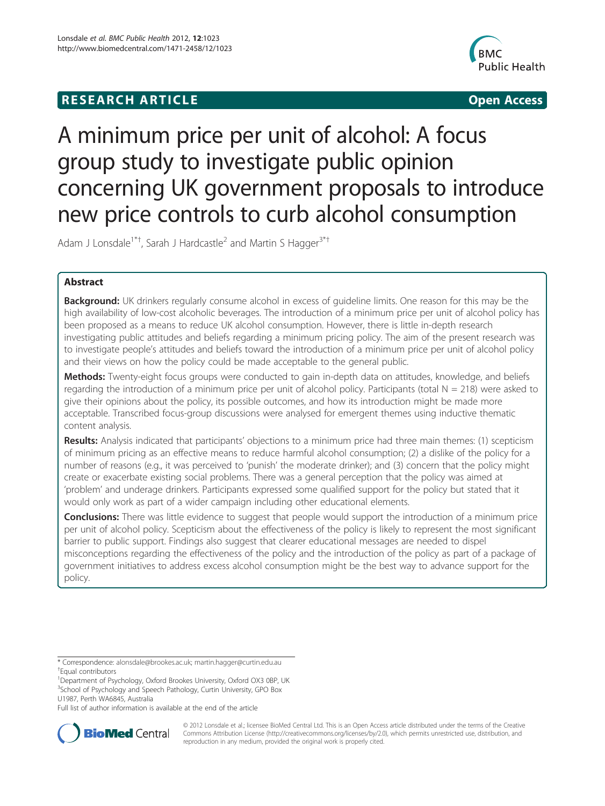# **RESEARCH ARTICLE Example 2014 12:30 The SEAR CH ACCESS**



# A minimum price per unit of alcohol: A focus group study to investigate public opinion concerning UK government proposals to introduce new price controls to curb alcohol consumption

Adam J Lonsdale<sup>1\*†</sup>, Sarah J Hardcastle<sup>2</sup> and Martin S Hagger<sup>3\*†</sup>

# Abstract

**Background:** UK drinkers regularly consume alcohol in excess of guideline limits. One reason for this may be the high availability of low-cost alcoholic beverages. The introduction of a minimum price per unit of alcohol policy has been proposed as a means to reduce UK alcohol consumption. However, there is little in-depth research investigating public attitudes and beliefs regarding a minimum pricing policy. The aim of the present research was to investigate people's attitudes and beliefs toward the introduction of a minimum price per unit of alcohol policy and their views on how the policy could be made acceptable to the general public.

Methods: Twenty-eight focus groups were conducted to gain in-depth data on attitudes, knowledge, and beliefs regarding the introduction of a minimum price per unit of alcohol policy. Participants (total  $N = 218$ ) were asked to give their opinions about the policy, its possible outcomes, and how its introduction might be made more acceptable. Transcribed focus-group discussions were analysed for emergent themes using inductive thematic content analysis.

Results: Analysis indicated that participants' objections to a minimum price had three main themes: (1) scepticism of minimum pricing as an effective means to reduce harmful alcohol consumption; (2) a dislike of the policy for a number of reasons (e.g., it was perceived to 'punish' the moderate drinker); and (3) concern that the policy might create or exacerbate existing social problems. There was a general perception that the policy was aimed at 'problem' and underage drinkers. Participants expressed some qualified support for the policy but stated that it would only work as part of a wider campaign including other educational elements.

**Conclusions:** There was little evidence to suggest that people would support the introduction of a minimum price per unit of alcohol policy. Scepticism about the effectiveness of the policy is likely to represent the most significant barrier to public support. Findings also suggest that clearer educational messages are needed to dispel misconceptions regarding the effectiveness of the policy and the introduction of the policy as part of a package of government initiatives to address excess alcohol consumption might be the best way to advance support for the policy.

Full list of author information is available at the end of the article



© 2012 Lonsdale et al.; licensee BioMed Central Ltd. This is an Open Access article distributed under the terms of the Creative Commons Attribution License [\(http://creativecommons.org/licenses/by/2.0\)](http://creativecommons.org/licenses/by/2.0), which permits unrestricted use, distribution, and reproduction in any medium, provided the original work is properly cited.

<sup>\*</sup> Correspondence: [alonsdale@brookes.ac.uk;](mailto:alonsdale@brookes.ac.uk) [martin.hagger@curtin.edu.au](mailto:martin.hagger@curtin.edu.au) † Equal contributors

<sup>&</sup>lt;sup>1</sup>Department of Psychology, Oxford Brookes University, Oxford OX3 0BP, UK <sup>3</sup>School of Psychology and Speech Pathology, Curtin University, GPO Box U1987, Perth WA6845, Australia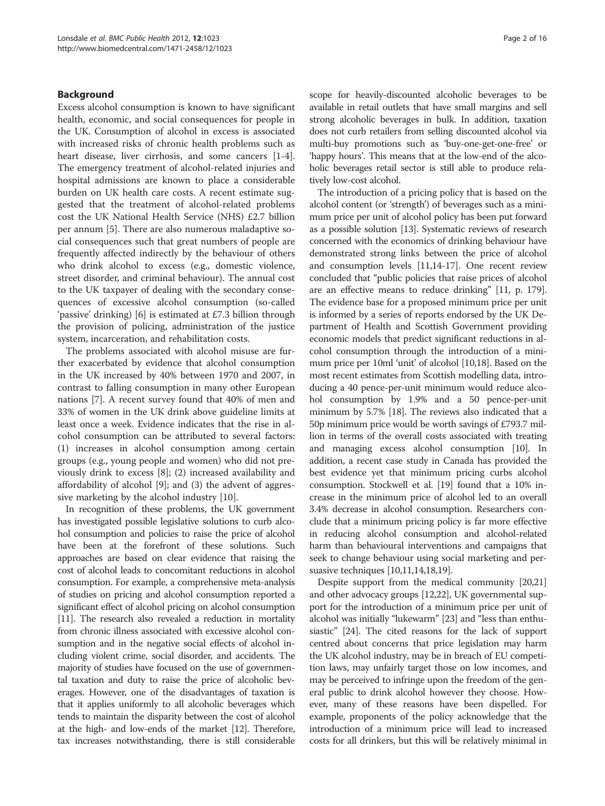#### Background

Excess alcohol consumption is known to have significant health, economic, and social consequences for people in the UK. Consumption of alcohol in excess is associated with increased risks of chronic health problems such as heart disease, liver cirrhosis, and some cancers [[1-4](#page-13-0)]. The emergency treatment of alcohol-related injuries and hospital admissions are known to place a considerable burden on UK health care costs. A recent estimate suggested that the treatment of alcohol-related problems cost the UK National Health Service (NHS) £2.7 billion per annum [[5\]](#page-13-0). There are also numerous maladaptive social consequences such that great numbers of people are frequently affected indirectly by the behaviour of others who drink alcohol to excess (e.g., domestic violence, street disorder, and criminal behaviour). The annual cost to the UK taxpayer of dealing with the secondary consequences of excessive alcohol consumption (so-called 'passive' drinking) [\[6\]](#page-13-0) is estimated at £7.3 billion through the provision of policing, administration of the justice system, incarceration, and rehabilitation costs.

The problems associated with alcohol misuse are further exacerbated by evidence that alcohol consumption in the UK increased by 40% between 1970 and 2007, in contrast to falling consumption in many other European nations [\[7](#page-13-0)]. A recent survey found that 40% of men and 33% of women in the UK drink above guideline limits at least once a week. Evidence indicates that the rise in alcohol consumption can be attributed to several factors: (1) increases in alcohol consumption among certain groups (e.g., young people and women) who did not previously drink to excess [\[8\]](#page-13-0); (2) increased availability and affordability of alcohol [\[9](#page-13-0)]; and (3) the advent of aggressive marketing by the alcohol industry [[10](#page-13-0)].

In recognition of these problems, the UK government has investigated possible legislative solutions to curb alcohol consumption and policies to raise the price of alcohol have been at the forefront of these solutions. Such approaches are based on clear evidence that raising the cost of alcohol leads to concomitant reductions in alcohol consumption. For example, a comprehensive meta-analysis of studies on pricing and alcohol consumption reported a significant effect of alcohol pricing on alcohol consumption [[11](#page-14-0)]. The research also revealed a reduction in mortality from chronic illness associated with excessive alcohol consumption and in the negative social effects of alcohol including violent crime, social disorder, and accidents. The majority of studies have focused on the use of governmental taxation and duty to raise the price of alcoholic beverages. However, one of the disadvantages of taxation is that it applies uniformly to all alcoholic beverages which tends to maintain the disparity between the cost of alcohol at the high- and low-ends of the market [[12](#page-14-0)]. Therefore, tax increases notwithstanding, there is still considerable scope for heavily-discounted alcoholic beverages to be available in retail outlets that have small margins and sell strong alcoholic beverages in bulk. In addition, taxation does not curb retailers from selling discounted alcohol via multi-buy promotions such as 'buy-one-get-one-free' or 'happy hours'. This means that at the low-end of the alcoholic beverages retail sector is still able to produce relatively low-cost alcohol.

The introduction of a pricing policy that is based on the alcohol content (or 'strength') of beverages such as a minimum price per unit of alcohol policy has been put forward as a possible solution [\[13\]](#page-14-0). Systematic reviews of research concerned with the economics of drinking behaviour have demonstrated strong links between the price of alcohol and consumption levels [[11](#page-14-0),[14](#page-14-0)-[17](#page-14-0)]. One recent review concluded that "public policies that raise prices of alcohol are an effective means to reduce drinking" [\[11,](#page-14-0) p. 179]. The evidence base for a proposed minimum price per unit is informed by a series of reports endorsed by the UK Department of Health and Scottish Government providing economic models that predict significant reductions in alcohol consumption through the introduction of a minimum price per 10ml 'unit' of alcohol [[10](#page-13-0)[,18\]](#page-14-0). Based on the most recent estimates from Scottish modelling data, introducing a 40 pence-per-unit minimum would reduce alcohol consumption by 1.9% and a 50 pence-per-unit minimum by 5.7% [[18](#page-14-0)]. The reviews also indicated that a 50p minimum price would be worth savings of £793.7 million in terms of the overall costs associated with treating and managing excess alcohol consumption [\[10](#page-13-0)]. In addition, a recent case study in Canada has provided the best evidence yet that minimum pricing curbs alcohol consumption. Stockwell et al. [[19](#page-14-0)] found that a 10% increase in the minimum price of alcohol led to an overall 3.4% decrease in alcohol consumption. Researchers conclude that a minimum pricing policy is far more effective in reducing alcohol consumption and alcohol-related harm than behavioural interventions and campaigns that seek to change behaviour using social marketing and persuasive techniques [\[10](#page-13-0)[,11,14,18,19\]](#page-14-0).

Despite support from the medical community [\[20,21](#page-14-0)] and other advocacy groups [\[12,22](#page-14-0)], UK governmental support for the introduction of a minimum price per unit of alcohol was initially "lukewarm" [\[23\]](#page-14-0) and "less than enthusiastic" [\[24](#page-14-0)]. The cited reasons for the lack of support centred about concerns that price legislation may harm the UK alcohol industry, may be in breach of EU competition laws, may unfairly target those on low incomes, and may be perceived to infringe upon the freedom of the general public to drink alcohol however they choose. However, many of these reasons have been dispelled. For example, proponents of the policy acknowledge that the introduction of a minimum price will lead to increased costs for all drinkers, but this will be relatively minimal in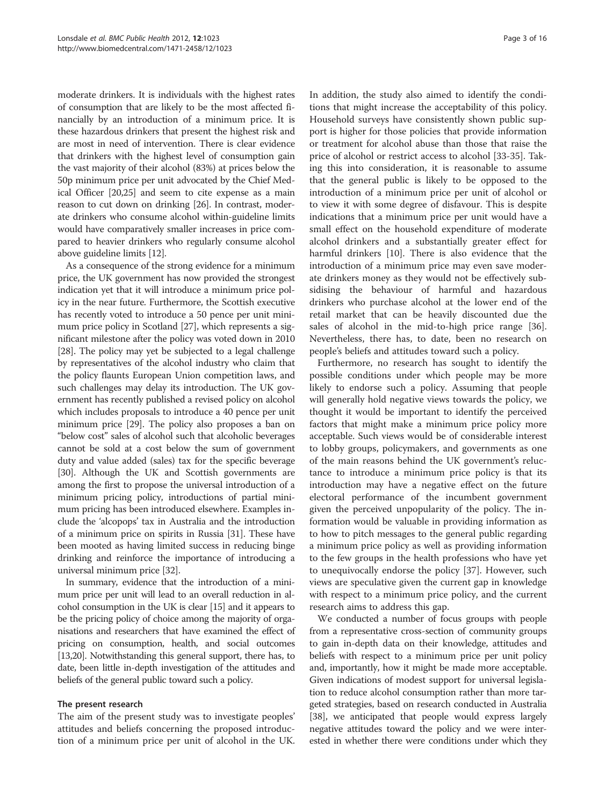moderate drinkers. It is individuals with the highest rates of consumption that are likely to be the most affected financially by an introduction of a minimum price. It is these hazardous drinkers that present the highest risk and are most in need of intervention. There is clear evidence that drinkers with the highest level of consumption gain the vast majority of their alcohol (83%) at prices below the 50p minimum price per unit advocated by the Chief Medical Officer [[20,25](#page-14-0)] and seem to cite expense as a main reason to cut down on drinking [\[26\]](#page-14-0). In contrast, moderate drinkers who consume alcohol within-guideline limits would have comparatively smaller increases in price compared to heavier drinkers who regularly consume alcohol above guideline limits [\[12\]](#page-14-0).

As a consequence of the strong evidence for a minimum price, the UK government has now provided the strongest indication yet that it will introduce a minimum price policy in the near future. Furthermore, the Scottish executive has recently voted to introduce a 50 pence per unit minimum price policy in Scotland [\[27\]](#page-14-0), which represents a significant milestone after the policy was voted down in 2010 [[28](#page-14-0)]. The policy may yet be subjected to a legal challenge by representatives of the alcohol industry who claim that the policy flaunts European Union competition laws, and such challenges may delay its introduction. The UK government has recently published a revised policy on alcohol which includes proposals to introduce a 40 pence per unit minimum price [\[29\]](#page-14-0). The policy also proposes a ban on "below cost" sales of alcohol such that alcoholic beverages cannot be sold at a cost below the sum of government duty and value added (sales) tax for the specific beverage [[30](#page-14-0)]. Although the UK and Scottish governments are among the first to propose the universal introduction of a minimum pricing policy, introductions of partial minimum pricing has been introduced elsewhere. Examples include the 'alcopops' tax in Australia and the introduction of a minimum price on spirits in Russia [[31](#page-14-0)]. These have been mooted as having limited success in reducing binge drinking and reinforce the importance of introducing a universal minimum price [[32](#page-14-0)].

In summary, evidence that the introduction of a minimum price per unit will lead to an overall reduction in alcohol consumption in the UK is clear [[15\]](#page-14-0) and it appears to be the pricing policy of choice among the majority of organisations and researchers that have examined the effect of pricing on consumption, health, and social outcomes [[13,20\]](#page-14-0). Notwithstanding this general support, there has, to date, been little in-depth investigation of the attitudes and beliefs of the general public toward such a policy.

#### The present research

The aim of the present study was to investigate peoples' attitudes and beliefs concerning the proposed introduction of a minimum price per unit of alcohol in the UK.

In addition, the study also aimed to identify the conditions that might increase the acceptability of this policy. Household surveys have consistently shown public support is higher for those policies that provide information or treatment for alcohol abuse than those that raise the price of alcohol or restrict access to alcohol [[33-35](#page-14-0)]. Taking this into consideration, it is reasonable to assume that the general public is likely to be opposed to the introduction of a minimum price per unit of alcohol or to view it with some degree of disfavour. This is despite indications that a minimum price per unit would have a small effect on the household expenditure of moderate alcohol drinkers and a substantially greater effect for harmful drinkers [[10](#page-13-0)]. There is also evidence that the introduction of a minimum price may even save moderate drinkers money as they would not be effectively subsidising the behaviour of harmful and hazardous drinkers who purchase alcohol at the lower end of the retail market that can be heavily discounted due the sales of alcohol in the mid-to-high price range [\[36](#page-14-0)]. Nevertheless, there has, to date, been no research on people's beliefs and attitudes toward such a policy.

Furthermore, no research has sought to identify the possible conditions under which people may be more likely to endorse such a policy. Assuming that people will generally hold negative views towards the policy, we thought it would be important to identify the perceived factors that might make a minimum price policy more acceptable. Such views would be of considerable interest to lobby groups, policymakers, and governments as one of the main reasons behind the UK government's reluctance to introduce a minimum price policy is that its introduction may have a negative effect on the future electoral performance of the incumbent government given the perceived unpopularity of the policy. The information would be valuable in providing information as to how to pitch messages to the general public regarding a minimum price policy as well as providing information to the few groups in the health professions who have yet to unequivocally endorse the policy [\[37](#page-14-0)]. However, such views are speculative given the current gap in knowledge with respect to a minimum price policy, and the current research aims to address this gap.

We conducted a number of focus groups with people from a representative cross-section of community groups to gain in-depth data on their knowledge, attitudes and beliefs with respect to a minimum price per unit policy and, importantly, how it might be made more acceptable. Given indications of modest support for universal legislation to reduce alcohol consumption rather than more targeted strategies, based on research conducted in Australia [[38](#page-14-0)], we anticipated that people would express largely negative attitudes toward the policy and we were interested in whether there were conditions under which they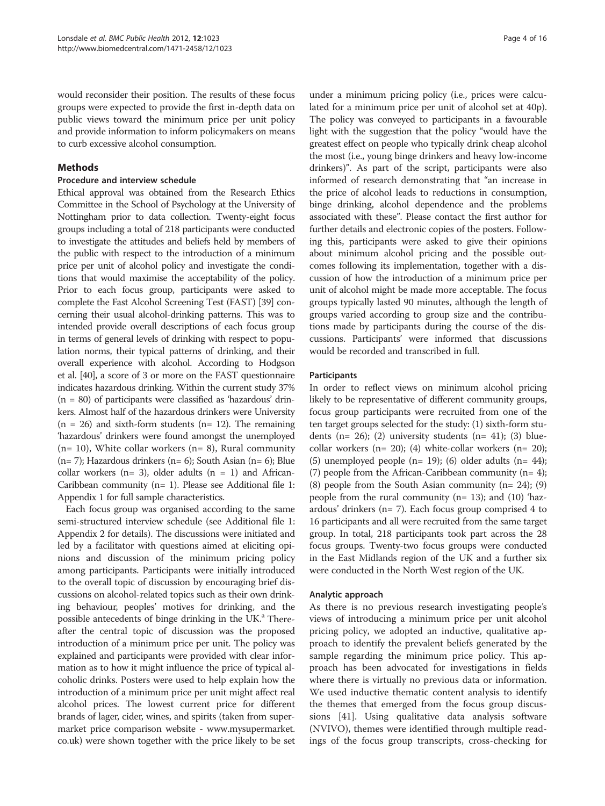would reconsider their position. The results of these focus groups were expected to provide the first in-depth data on public views toward the minimum price per unit policy and provide information to inform policymakers on means to curb excessive alcohol consumption.

# Methods

#### Procedure and interview schedule

Ethical approval was obtained from the Research Ethics Committee in the School of Psychology at the University of Nottingham prior to data collection. Twenty-eight focus groups including a total of 218 participants were conducted to investigate the attitudes and beliefs held by members of the public with respect to the introduction of a minimum price per unit of alcohol policy and investigate the conditions that would maximise the acceptability of the policy. Prior to each focus group, participants were asked to complete the Fast Alcohol Screening Test (FAST) [\[39\]](#page-14-0) concerning their usual alcohol-drinking patterns. This was to intended provide overall descriptions of each focus group in terms of general levels of drinking with respect to population norms, their typical patterns of drinking, and their overall experience with alcohol. According to Hodgson et al. [\[40\]](#page-14-0), a score of 3 or more on the FAST questionnaire indicates hazardous drinking. Within the current study 37% (n = 80) of participants were classified as 'hazardous' drinkers. Almost half of the hazardous drinkers were University  $(n = 26)$  and sixth-form students  $(n = 12)$ . The remaining 'hazardous' drinkers were found amongst the unemployed  $(n= 10)$ , White collar workers  $(n= 8)$ , Rural community  $(n= 7)$ ; Hazardous drinkers  $(n= 6)$ ; South Asian  $(n= 6)$ ; Blue collar workers ( $n= 3$ ), older adults ( $n = 1$ ) and African-Caribbean community (n= 1). Please see Additional file [1](#page-13-0): Appendix 1 for full sample characteristics.

Each focus group was organised according to the same semi-structured interview schedule (see Additional file [1](#page-13-0): Appendix 2 for details). The discussions were initiated and led by a facilitator with questions aimed at eliciting opinions and discussion of the minimum pricing policy among participants. Participants were initially introduced to the overall topic of discussion by encouraging brief discussions on alcohol-related topics such as their own drinking behaviour, peoples' motives for drinking, and the possible antecedents of binge drinking in the UK.<sup>a</sup> Thereafter the central topic of discussion was the proposed introduction of a minimum price per unit. The policy was explained and participants were provided with clear information as to how it might influence the price of typical alcoholic drinks. Posters were used to help explain how the introduction of a minimum price per unit might affect real alcohol prices. The lowest current price for different brands of lager, cider, wines, and spirits (taken from supermarket price comparison website - [www.mysupermarket.](http://www.mysupermarket.co.uk) [co.uk](http://www.mysupermarket.co.uk)) were shown together with the price likely to be set

under a minimum pricing policy (i.e., prices were calculated for a minimum price per unit of alcohol set at 40p). The policy was conveyed to participants in a favourable light with the suggestion that the policy "would have the greatest effect on people who typically drink cheap alcohol the most (i.e., young binge drinkers and heavy low-income drinkers)". As part of the script, participants were also informed of research demonstrating that "an increase in the price of alcohol leads to reductions in consumption, binge drinking, alcohol dependence and the problems associated with these". Please contact the first author for further details and electronic copies of the posters. Following this, participants were asked to give their opinions about minimum alcohol pricing and the possible outcomes following its implementation, together with a discussion of how the introduction of a minimum price per unit of alcohol might be made more acceptable. The focus groups typically lasted 90 minutes, although the length of groups varied according to group size and the contributions made by participants during the course of the discussions. Participants' were informed that discussions would be recorded and transcribed in full.

#### **Participants**

In order to reflect views on minimum alcohol pricing likely to be representative of different community groups, focus group participants were recruited from one of the ten target groups selected for the study: (1) sixth-form students (n= 26); (2) university students (n= 41); (3) bluecollar workers  $(n= 20)$ ; (4) white-collar workers  $(n= 20)$ ; (5) unemployed people (n= 19); (6) older adults (n=  $44$ ); (7) people from the African-Caribbean community ( $n= 4$ ); (8) people from the South Asian community ( $n= 24$ ); (9) people from the rural community ( $n= 13$ ); and (10) 'hazardous' drinkers ( $n= 7$ ). Each focus group comprised 4 to 16 participants and all were recruited from the same target group. In total, 218 participants took part across the 28 focus groups. Twenty-two focus groups were conducted in the East Midlands region of the UK and a further six were conducted in the North West region of the UK.

#### Analytic approach

As there is no previous research investigating people's views of introducing a minimum price per unit alcohol pricing policy, we adopted an inductive, qualitative approach to identify the prevalent beliefs generated by the sample regarding the minimum price policy. This approach has been advocated for investigations in fields where there is virtually no previous data or information. We used inductive thematic content analysis to identify the themes that emerged from the focus group discussions [\[41](#page-14-0)]. Using qualitative data analysis software (NVIVO), themes were identified through multiple readings of the focus group transcripts, cross-checking for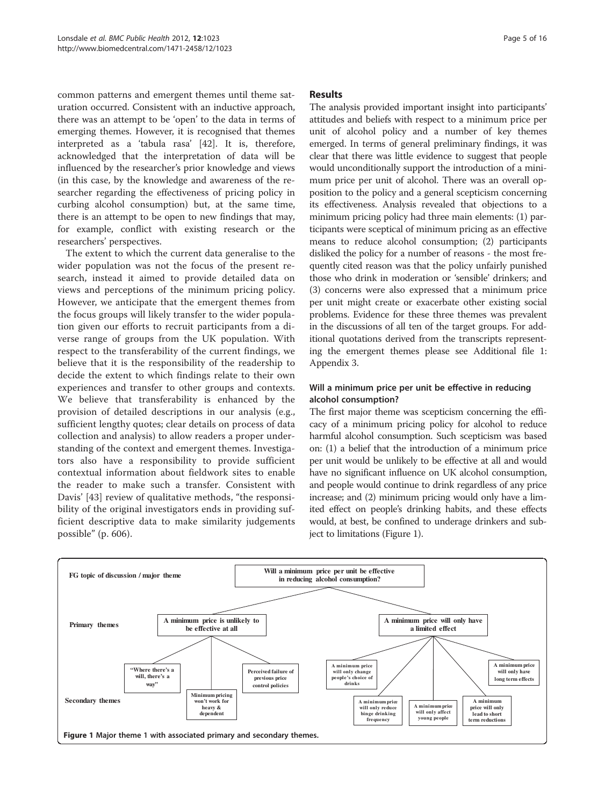common patterns and emergent themes until theme saturation occurred. Consistent with an inductive approach, there was an attempt to be 'open' to the data in terms of emerging themes. However, it is recognised that themes interpreted as a 'tabula rasa' [\[42\]](#page-14-0). It is, therefore, acknowledged that the interpretation of data will be influenced by the researcher's prior knowledge and views (in this case, by the knowledge and awareness of the researcher regarding the effectiveness of pricing policy in curbing alcohol consumption) but, at the same time, there is an attempt to be open to new findings that may, for example, conflict with existing research or the researchers' perspectives.

The extent to which the current data generalise to the wider population was not the focus of the present research, instead it aimed to provide detailed data on views and perceptions of the minimum pricing policy. However, we anticipate that the emergent themes from the focus groups will likely transfer to the wider population given our efforts to recruit participants from a diverse range of groups from the UK population. With respect to the transferability of the current findings, we believe that it is the responsibility of the readership to decide the extent to which findings relate to their own experiences and transfer to other groups and contexts. We believe that transferability is enhanced by the provision of detailed descriptions in our analysis (e.g., sufficient lengthy quotes; clear details on process of data collection and analysis) to allow readers a proper understanding of the context and emergent themes. Investigators also have a responsibility to provide sufficient contextual information about fieldwork sites to enable the reader to make such a transfer. Consistent with Davis' [[43\]](#page-14-0) review of qualitative methods, "the responsibility of the original investigators ends in providing sufficient descriptive data to make similarity judgements possible" (p. 606).

#### Results

The analysis provided important insight into participants' attitudes and beliefs with respect to a minimum price per unit of alcohol policy and a number of key themes emerged. In terms of general preliminary findings, it was clear that there was little evidence to suggest that people would unconditionally support the introduction of a minimum price per unit of alcohol. There was an overall opposition to the policy and a general scepticism concerning its effectiveness. Analysis revealed that objections to a minimum pricing policy had three main elements: (1) participants were sceptical of minimum pricing as an effective means to reduce alcohol consumption; (2) participants disliked the policy for a number of reasons - the most frequently cited reason was that the policy unfairly punished those who drink in moderation or 'sensible' drinkers; and (3) concerns were also expressed that a minimum price per unit might create or exacerbate other existing social problems. Evidence for these three themes was prevalent in the discussions of all ten of the target groups. For additional quotations derived from the transcripts representing the emergent themes please see Additional file [1](#page-13-0): Appendix 3.

# Will a minimum price per unit be effective in reducing alcohol consumption?

The first major theme was scepticism concerning the efficacy of a minimum pricing policy for alcohol to reduce harmful alcohol consumption. Such scepticism was based on: (1) a belief that the introduction of a minimum price per unit would be unlikely to be effective at all and would have no significant influence on UK alcohol consumption, and people would continue to drink regardless of any price increase; and (2) minimum pricing would only have a limited effect on people's drinking habits, and these effects would, at best, be confined to underage drinkers and subject to limitations (Figure 1).

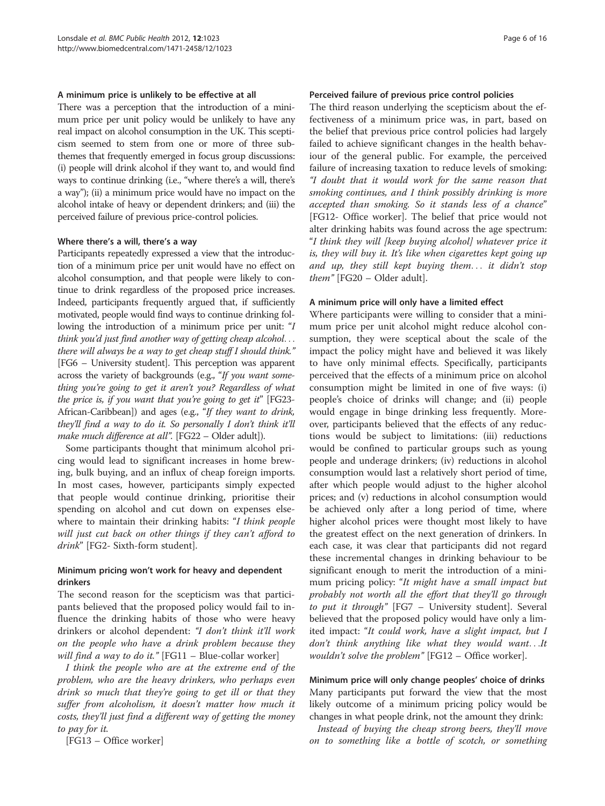#### A minimum price is unlikely to be effective at all

There was a perception that the introduction of a minimum price per unit policy would be unlikely to have any real impact on alcohol consumption in the UK. This scepticism seemed to stem from one or more of three subthemes that frequently emerged in focus group discussions: (i) people will drink alcohol if they want to, and would find ways to continue drinking (i.e., "where there's a will, there's a way"); (ii) a minimum price would have no impact on the alcohol intake of heavy or dependent drinkers; and (iii) the perceived failure of previous price-control policies.

#### Where there's a will, there's a way

Participants repeatedly expressed a view that the introduction of a minimum price per unit would have no effect on alcohol consumption, and that people were likely to continue to drink regardless of the proposed price increases. Indeed, participants frequently argued that, if sufficiently motivated, people would find ways to continue drinking following the introduction of a minimum price per unit: "I think you'd just find another way of getting cheap alcohol... there will always be a way to get cheap stuff I should think." [FG6 – University student]. This perception was apparent across the variety of backgrounds (e.g., "If you want something you're going to get it aren't you? Regardless of what the price is, if you want that you're going to get it" [FG23- African-Caribbean]) and ages (e.g., "If they want to drink, they'll find a way to do it. So personally I don't think it'll make much difference at all". [FG22 – Older adult]).

Some participants thought that minimum alcohol pricing would lead to significant increases in home brewing, bulk buying, and an influx of cheap foreign imports. In most cases, however, participants simply expected that people would continue drinking, prioritise their spending on alcohol and cut down on expenses elsewhere to maintain their drinking habits: "I think people will just cut back on other things if they can't afford to drink" [FG2- Sixth-form student].

# Minimum pricing won't work for heavy and dependent drinkers

The second reason for the scepticism was that participants believed that the proposed policy would fail to influence the drinking habits of those who were heavy drinkers or alcohol dependent: "I don't think it'll work on the people who have a drink problem because they will find a way to do it."  $[FG11 - Blue  
collar worker]$ 

I think the people who are at the extreme end of the problem, who are the heavy drinkers, who perhaps even drink so much that they're going to get ill or that they suffer from alcoholism, it doesn't matter how much it costs, they'll just find a different way of getting the money to pay for it.

[FG13 – Office worker]

#### Perceived failure of previous price control policies

The third reason underlying the scepticism about the effectiveness of a minimum price was, in part, based on the belief that previous price control policies had largely failed to achieve significant changes in the health behaviour of the general public. For example, the perceived failure of increasing taxation to reduce levels of smoking: "I doubt that it would work for the same reason that smoking continues, and I think possibly drinking is more accepted than smoking. So it stands less of a chance" [FG12- Office worker]. The belief that price would not alter drinking habits was found across the age spectrum: "I think they will [keep buying alcohol] whatever price it is, they will buy it. It's like when cigarettes kept going up and up, they still kept buying them... it didn't stop them" [FG20 – Older adult].

#### A minimum price will only have a limited effect

Where participants were willing to consider that a minimum price per unit alcohol might reduce alcohol consumption, they were sceptical about the scale of the impact the policy might have and believed it was likely to have only minimal effects. Specifically, participants perceived that the effects of a minimum price on alcohol consumption might be limited in one of five ways: (i) people's choice of drinks will change; and (ii) people would engage in binge drinking less frequently. Moreover, participants believed that the effects of any reductions would be subject to limitations: (iii) reductions would be confined to particular groups such as young people and underage drinkers; (iv) reductions in alcohol consumption would last a relatively short period of time, after which people would adjust to the higher alcohol prices; and (v) reductions in alcohol consumption would be achieved only after a long period of time, where higher alcohol prices were thought most likely to have the greatest effect on the next generation of drinkers. In each case, it was clear that participants did not regard these incremental changes in drinking behaviour to be significant enough to merit the introduction of a minimum pricing policy: "It might have a small impact but probably not worth all the effort that they'll go through to put it through" [FG7 – University student]. Several believed that the proposed policy would have only a limited impact: "It could work, have a slight impact, but I don't think anything like what they would want...It wouldn't solve the problem" [FG12 - Office worker].

Minimum price will only change peoples' choice of drinks Many participants put forward the view that the most likely outcome of a minimum pricing policy would be changes in what people drink, not the amount they drink:

Instead of buying the cheap strong beers, they'll move on to something like a bottle of scotch, or something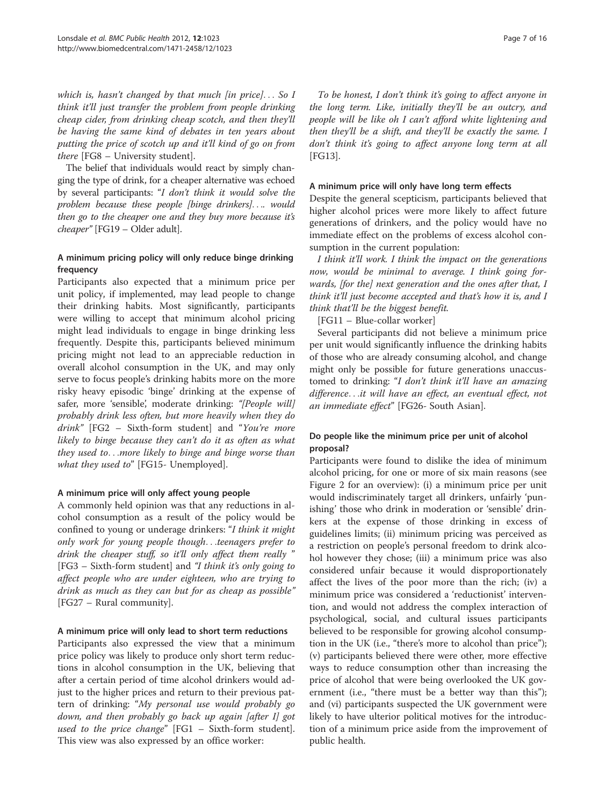which is, hasn't changed by that much  $\lceil$ in price $\rceil$ ... So I think it'll just transfer the problem from people drinking cheap cider, from drinking cheap scotch, and then they'll be having the same kind of debates in ten years about putting the price of scotch up and it'll kind of go on from there [FG8 – University student].

The belief that individuals would react by simply changing the type of drink, for a cheaper alternative was echoed by several participants: "I don't think it would solve the problem because these people [binge drinkers].... would then go to the cheaper one and they buy more because it's cheaper" [FG19 – Older adult].

# A minimum pricing policy will only reduce binge drinking frequency

Participants also expected that a minimum price per unit policy, if implemented, may lead people to change their drinking habits. Most significantly, participants were willing to accept that minimum alcohol pricing might lead individuals to engage in binge drinking less frequently. Despite this, participants believed minimum pricing might not lead to an appreciable reduction in overall alcohol consumption in the UK, and may only serve to focus people's drinking habits more on the more risky heavy episodic 'binge' drinking at the expense of safer, more 'sensible', moderate drinking: "[People will] probably drink less often, but more heavily when they do drink" [FG2 – Sixth-form student] and "You're more likely to binge because they can't do it as often as what they used to...more likely to binge and binge worse than what they used to" [FG15- Unemployed].

#### A minimum price will only affect young people

A commonly held opinion was that any reductions in alcohol consumption as a result of the policy would be confined to young or underage drinkers: "I think it might only work for young people though...teenagers prefer to drink the cheaper stuff, so it'll only affect them really " [FG3 – Sixth-form student] and "I think it's only going to affect people who are under eighteen, who are trying to drink as much as they can but for as cheap as possible" [FG27 – Rural community].

#### A minimum price will only lead to short term reductions

Participants also expressed the view that a minimum price policy was likely to produce only short term reductions in alcohol consumption in the UK, believing that after a certain period of time alcohol drinkers would adjust to the higher prices and return to their previous pattern of drinking: "My personal use would probably go down, and then probably go back up again [after I] got used to the price change" [FG1 – Sixth-form student]. This view was also expressed by an office worker:

To be honest, I don't think it's going to affect anyone in the long term. Like, initially they'll be an outcry, and people will be like oh I can't afford white lightening and then they'll be a shift, and they'll be exactly the same. I don't think it's going to affect anyone long term at all [FG13].

#### A minimum price will only have long term effects

Despite the general scepticism, participants believed that higher alcohol prices were more likely to affect future generations of drinkers, and the policy would have no immediate effect on the problems of excess alcohol consumption in the current population:

I think it'll work. I think the impact on the generations now, would be minimal to average. I think going forwards, [for the] next generation and the ones after that, I think it'll just become accepted and that's how it is, and I think that'll be the biggest benefit.

[FG11 – Blue-collar worker]

Several participants did not believe a minimum price per unit would significantly influence the drinking habits of those who are already consuming alcohol, and change might only be possible for future generations unaccustomed to drinking: "I don't think it'll have an amazing difference...it will have an effect, an eventual effect, not an immediate effect" [FG26- South Asian].

# Do people like the minimum price per unit of alcohol proposal?

Participants were found to dislike the idea of minimum alcohol pricing, for one or more of six main reasons (see Figure [2](#page-7-0) for an overview): (i) a minimum price per unit would indiscriminately target all drinkers, unfairly 'punishing' those who drink in moderation or 'sensible' drinkers at the expense of those drinking in excess of guidelines limits; (ii) minimum pricing was perceived as a restriction on people's personal freedom to drink alcohol however they chose; (iii) a minimum price was also considered unfair because it would disproportionately affect the lives of the poor more than the rich; (iv) a minimum price was considered a 'reductionist' intervention, and would not address the complex interaction of psychological, social, and cultural issues participants believed to be responsible for growing alcohol consumption in the UK (i.e., "there's more to alcohol than price"); (v) participants believed there were other, more effective ways to reduce consumption other than increasing the price of alcohol that were being overlooked the UK government (i.e., "there must be a better way than this"); and (vi) participants suspected the UK government were likely to have ulterior political motives for the introduction of a minimum price aside from the improvement of public health.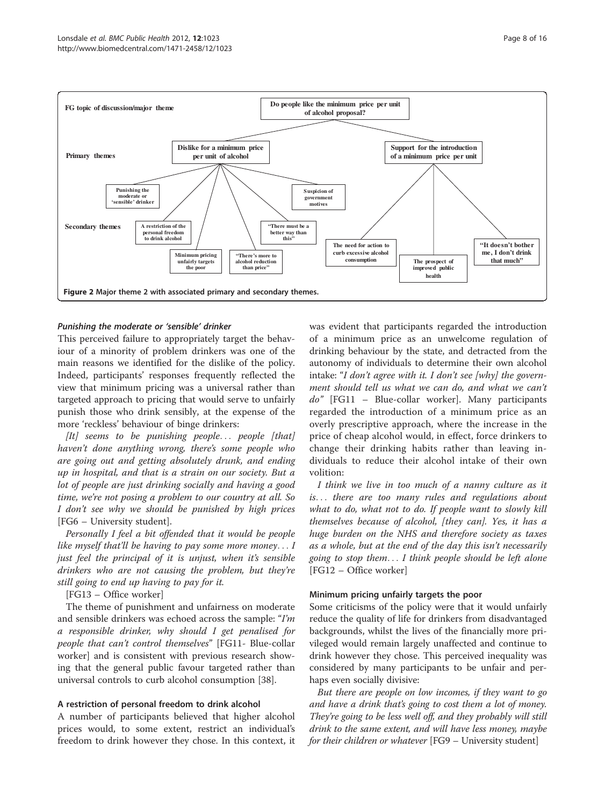<span id="page-7-0"></span>

# Punishing the moderate or 'sensible' drinker

This perceived failure to appropriately target the behaviour of a minority of problem drinkers was one of the main reasons we identified for the dislike of the policy. Indeed, participants' responses frequently reflected the view that minimum pricing was a universal rather than targeted approach to pricing that would serve to unfairly punish those who drink sensibly, at the expense of the more 'reckless' behaviour of binge drinkers:

 $[It]$  seems to be punishing people... people  $[that]$ haven't done anything wrong, there's some people who are going out and getting absolutely drunk, and ending up in hospital, and that is a strain on our society. But a lot of people are just drinking socially and having a good time, we're not posing a problem to our country at all. So I don't see why we should be punished by high prices [FG6 – University student].

Personally I feel a bit offended that it would be people like myself that'll be having to pay some more money... I just feel the principal of it is unjust, when it's sensible drinkers who are not causing the problem, but they're still going to end up having to pay for it.

[FG13 – Office worker]

The theme of punishment and unfairness on moderate and sensible drinkers was echoed across the sample: "I'm a responsible drinker, why should I get penalised for people that can't control themselves" [FG11- Blue-collar worker] and is consistent with previous research showing that the general public favour targeted rather than universal controls to curb alcohol consumption [\[38](#page-14-0)].

#### A restriction of personal freedom to drink alcohol

A number of participants believed that higher alcohol prices would, to some extent, restrict an individual's freedom to drink however they chose. In this context, it was evident that participants regarded the introduction of a minimum price as an unwelcome regulation of drinking behaviour by the state, and detracted from the autonomy of individuals to determine their own alcohol intake: "I don't agree with it. I don't see [why] the government should tell us what we can do, and what we can't  $do''$  [FG11 – Blue-collar worker]. Many participants regarded the introduction of a minimum price as an overly prescriptive approach, where the increase in the price of cheap alcohol would, in effect, force drinkers to change their drinking habits rather than leaving individuals to reduce their alcohol intake of their own volition:

I think we live in too much of a nanny culture as it is... there are too many rules and regulations about what to do, what not to do. If people want to slowly kill themselves because of alcohol, [they can]. Yes, it has a huge burden on the NHS and therefore society as taxes as a whole, but at the end of the day this isn't necessarily going to stop them... I think people should be left alone [FG12 – Office worker]

#### Minimum pricing unfairly targets the poor

Some criticisms of the policy were that it would unfairly reduce the quality of life for drinkers from disadvantaged backgrounds, whilst the lives of the financially more privileged would remain largely unaffected and continue to drink however they chose. This perceived inequality was considered by many participants to be unfair and perhaps even socially divisive:

But there are people on low incomes, if they want to go and have a drink that's going to cost them a lot of money. They're going to be less well off, and they probably will still drink to the same extent, and will have less money, maybe for their children or whatever [FG9 - University student]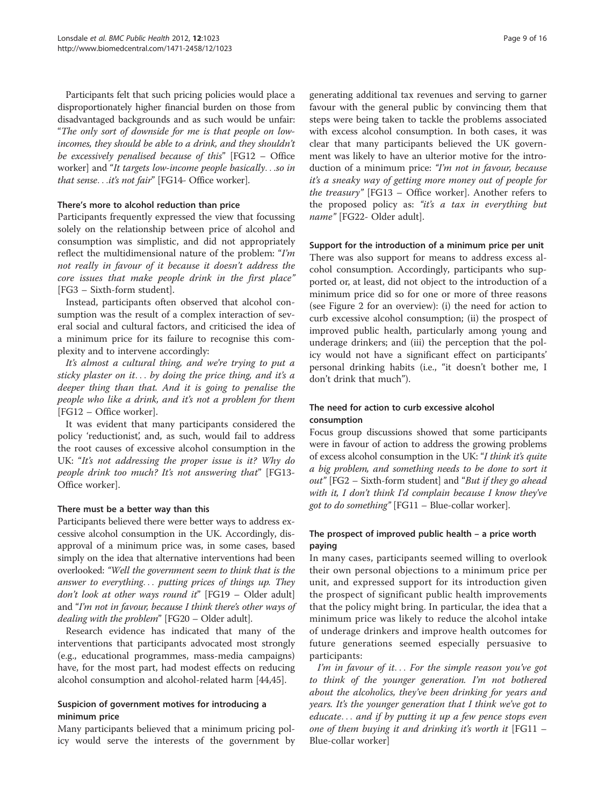Participants felt that such pricing policies would place a disproportionately higher financial burden on those from disadvantaged backgrounds and as such would be unfair: "The only sort of downside for me is that people on lowincomes, they should be able to a drink, and they shouldn't be excessively penalised because of this" [FG12 – Office worker] and "It targets low-income people basically...so in that sense...it's not fair" [FG14- Office worker].

#### There's more to alcohol reduction than price

Participants frequently expressed the view that focussing solely on the relationship between price of alcohol and consumption was simplistic, and did not appropriately reflect the multidimensional nature of the problem: "I'm not really in favour of it because it doesn't address the core issues that make people drink in the first place" [FG3 – Sixth-form student].

Instead, participants often observed that alcohol consumption was the result of a complex interaction of several social and cultural factors, and criticised the idea of a minimum price for its failure to recognise this complexity and to intervene accordingly:

It's almost a cultural thing, and we're trying to put a sticky plaster on it... by doing the price thing, and it's a deeper thing than that. And it is going to penalise the people who like a drink, and it's not a problem for them [FG12 – Office worker].

It was evident that many participants considered the policy 'reductionist', and, as such, would fail to address the root causes of excessive alcohol consumption in the UK: "It's not addressing the proper issue is it? Why do people drink too much? It's not answering that" [FG13- Office worker].

#### There must be a better way than this

Participants believed there were better ways to address excessive alcohol consumption in the UK. Accordingly, disapproval of a minimum price was, in some cases, based simply on the idea that alternative interventions had been overlooked: "Well the government seem to think that is the answer to everything... putting prices of things up. They don't look at other ways round it"  $[FG19 - Older adult]$ and "I'm not in favour, because I think there's other ways of dealing with the problem" [FG20 – Older adult].

Research evidence has indicated that many of the interventions that participants advocated most strongly (e.g., educational programmes, mass-media campaigns) have, for the most part, had modest effects on reducing alcohol consumption and alcohol-related harm [\[44,45\]](#page-14-0).

#### Suspicion of government motives for introducing a minimum price

Many participants believed that a minimum pricing policy would serve the interests of the government by

generating additional tax revenues and serving to garner favour with the general public by convincing them that steps were being taken to tackle the problems associated with excess alcohol consumption. In both cases, it was clear that many participants believed the UK government was likely to have an ulterior motive for the introduction of a minimum price: "I'm not in favour, because it's a sneaky way of getting more money out of people for the treasury" [FG13 – Office worker]. Another refers to the proposed policy as: "it's a tax in everything but name" [FG22- Older adult].

Support for the introduction of a minimum price per unit There was also support for means to address excess alcohol consumption. Accordingly, participants who supported or, at least, did not object to the introduction of a minimum price did so for one or more of three reasons (see Figure [2](#page-7-0) for an overview): (i) the need for action to curb excessive alcohol consumption; (ii) the prospect of improved public health, particularly among young and underage drinkers; and (iii) the perception that the policy would not have a significant effect on participants' personal drinking habits (i.e., "it doesn't bother me, I don't drink that much").

# The need for action to curb excessive alcohol consumption

Focus group discussions showed that some participants were in favour of action to address the growing problems of excess alcohol consumption in the UK: "I think it's quite a big problem, and something needs to be done to sort it out" [FG2 – Sixth-form student] and "But if they go ahead with it, I don't think I'd complain because I know they've got to do something" [FG11 – Blue-collar worker].

# The prospect of improved public health – a price worth paying

In many cases, participants seemed willing to overlook their own personal objections to a minimum price per unit, and expressed support for its introduction given the prospect of significant public health improvements that the policy might bring. In particular, the idea that a minimum price was likely to reduce the alcohol intake of underage drinkers and improve health outcomes for future generations seemed especially persuasive to participants:

I'm in favour of it... For the simple reason you've got to think of the younger generation. I'm not bothered about the alcoholics, they've been drinking for years and years. It's the younger generation that I think we've got to educate... and if by putting it up a few pence stops even one of them buying it and drinking it's worth it [FG11 – Blue-collar worker]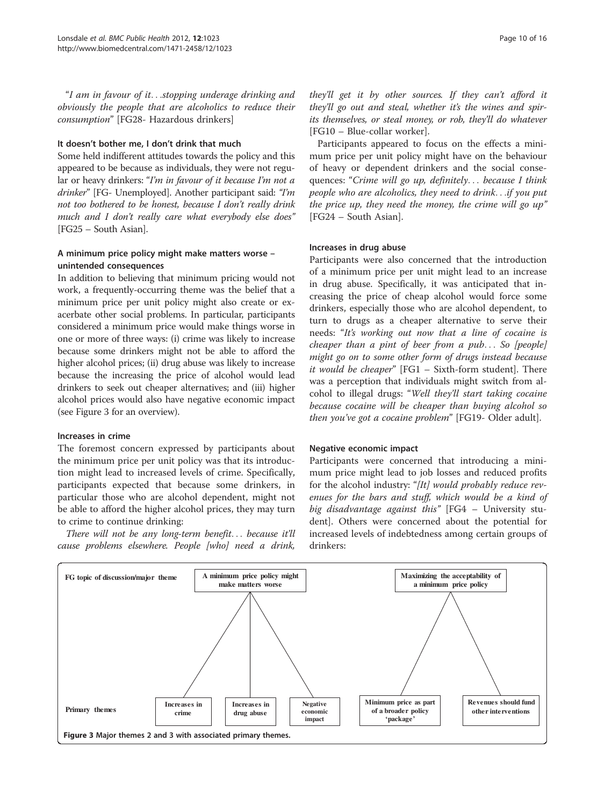"I am in favour of it...stopping underage drinking and obviously the people that are alcoholics to reduce their consumption" [FG28- Hazardous drinkers]

#### It doesn't bother me, I don't drink that much

Some held indifferent attitudes towards the policy and this appeared to be because as individuals, they were not regular or heavy drinkers: "I'm in favour of it because I'm not a drinker" [FG- Unemployed]. Another participant said: "I'm not too bothered to be honest, because I don't really drink much and I don't really care what everybody else does" [FG25 – South Asian].

#### A minimum price policy might make matters worse – unintended consequences

In addition to believing that minimum pricing would not work, a frequently-occurring theme was the belief that a minimum price per unit policy might also create or exacerbate other social problems. In particular, participants considered a minimum price would make things worse in one or more of three ways: (i) crime was likely to increase because some drinkers might not be able to afford the higher alcohol prices; (ii) drug abuse was likely to increase because the increasing the price of alcohol would lead drinkers to seek out cheaper alternatives; and (iii) higher alcohol prices would also have negative economic impact (see Figure 3 for an overview).

#### Increases in crime

The foremost concern expressed by participants about the minimum price per unit policy was that its introduction might lead to increased levels of crime. Specifically, participants expected that because some drinkers, in particular those who are alcohol dependent, might not be able to afford the higher alcohol prices, they may turn to crime to continue drinking:

There will not be any long-term benefit... because it'll cause problems elsewhere. People [who] need a drink,

they'll get it by other sources. If they can't afford it they'll go out and steal, whether it's the wines and spirits themselves, or steal money, or rob, they'll do whatever [FG10 – Blue-collar worker].

Participants appeared to focus on the effects a minimum price per unit policy might have on the behaviour of heavy or dependent drinkers and the social consequences: "Crime will go up, definitely... because I think people who are alcoholics, they need to drink...if you put the price up, they need the money, the crime will go up" [FG24 – South Asian].

#### Increases in drug abuse

Participants were also concerned that the introduction of a minimum price per unit might lead to an increase in drug abuse. Specifically, it was anticipated that increasing the price of cheap alcohol would force some drinkers, especially those who are alcohol dependent, to turn to drugs as a cheaper alternative to serve their needs: "It's working out now that a line of cocaine is cheaper than a pint of beer from a pub... So [people] might go on to some other form of drugs instead because it would be cheaper" [FG1 – Sixth-form student]. There was a perception that individuals might switch from alcohol to illegal drugs: "Well they'll start taking cocaine because cocaine will be cheaper than buying alcohol so then you've got a cocaine problem" [FG19- Older adult].

#### Negative economic impact

Participants were concerned that introducing a minimum price might lead to job losses and reduced profits for the alcohol industry: "[It] would probably reduce revenues for the bars and stuff, which would be a kind of big disadvantage against this" [FG4 – University student]. Others were concerned about the potential for increased levels of indebtedness among certain groups of drinkers:

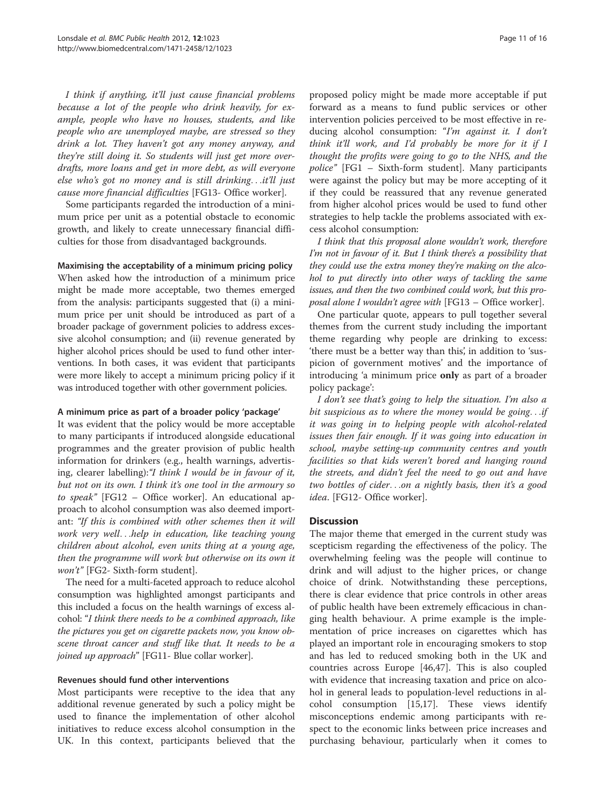I think if anything, it'll just cause financial problems because a lot of the people who drink heavily, for example, people who have no houses, students, and like people who are unemployed maybe, are stressed so they drink a lot. They haven't got any money anyway, and they're still doing it. So students will just get more overdrafts, more loans and get in more debt, as will everyone else who's got no money and is still drinking...it'll just cause more financial difficulties [FG13- Office worker].

Some participants regarded the introduction of a minimum price per unit as a potential obstacle to economic growth, and likely to create unnecessary financial difficulties for those from disadvantaged backgrounds.

# Maximising the acceptability of a minimum pricing policy

When asked how the introduction of a minimum price might be made more acceptable, two themes emerged from the analysis: participants suggested that (i) a minimum price per unit should be introduced as part of a broader package of government policies to address excessive alcohol consumption; and (ii) revenue generated by higher alcohol prices should be used to fund other interventions. In both cases, it was evident that participants were more likely to accept a minimum pricing policy if it was introduced together with other government policies.

#### A minimum price as part of a broader policy 'package'

It was evident that the policy would be more acceptable to many participants if introduced alongside educational programmes and the greater provision of public health information for drinkers (e.g., health warnings, advertising, clearer labelling):"I think I would be in favour of it, but not on its own. I think it's one tool in the armoury so to speak" [FG12 – Office worker]. An educational approach to alcohol consumption was also deemed important: "If this is combined with other schemes then it will work very well...help in education, like teaching young children about alcohol, even units thing at a young age, then the programme will work but otherwise on its own it won't" [FG2- Sixth-form student].

The need for a multi-faceted approach to reduce alcohol consumption was highlighted amongst participants and this included a focus on the health warnings of excess alcohol: "I think there needs to be a combined approach, like the pictures you get on cigarette packets now, you know obscene throat cancer and stuff like that. It needs to be a joined up approach" [FG11- Blue collar worker].

#### Revenues should fund other interventions

Most participants were receptive to the idea that any additional revenue generated by such a policy might be used to finance the implementation of other alcohol initiatives to reduce excess alcohol consumption in the UK. In this context, participants believed that the

proposed policy might be made more acceptable if put forward as a means to fund public services or other intervention policies perceived to be most effective in reducing alcohol consumption: "I'm against it. I don't think it'll work, and I'd probably be more for it if I thought the profits were going to go to the NHS, and the police" [FG1 – Sixth-form student]. Many participants were against the policy but may be more accepting of it if they could be reassured that any revenue generated from higher alcohol prices would be used to fund other strategies to help tackle the problems associated with excess alcohol consumption:

I think that this proposal alone wouldn't work, therefore I'm not in favour of it. But I think there's a possibility that they could use the extra money they're making on the alcohol to put directly into other ways of tackling the same issues, and then the two combined could work, but this proposal alone I wouldn't agree with [FG13 – Office worker].

One particular quote, appears to pull together several themes from the current study including the important theme regarding why people are drinking to excess: 'there must be a better way than this', in addition to 'suspicion of government motives' and the importance of introducing 'a minimum price only as part of a broader policy package':

I don't see that's going to help the situation. I'm also a bit suspicious as to where the money would be going...if it was going in to helping people with alcohol-related issues then fair enough. If it was going into education in school, maybe setting-up community centres and youth facilities so that kids weren't bored and hanging round the streets, and didn't feel the need to go out and have two bottles of cider...on a nightly basis, then it's a good idea. [FG12- Office worker].

#### **Discussion**

The major theme that emerged in the current study was scepticism regarding the effectiveness of the policy. The overwhelming feeling was the people will continue to drink and will adjust to the higher prices, or change choice of drink. Notwithstanding these perceptions, there is clear evidence that price controls in other areas of public health have been extremely efficacious in changing health behaviour. A prime example is the implementation of price increases on cigarettes which has played an important role in encouraging smokers to stop and has led to reduced smoking both in the UK and countries across Europe [[46,47\]](#page-14-0). This is also coupled with evidence that increasing taxation and price on alcohol in general leads to population-level reductions in alcohol consumption [\[15,17\]](#page-14-0). These views identify misconceptions endemic among participants with respect to the economic links between price increases and purchasing behaviour, particularly when it comes to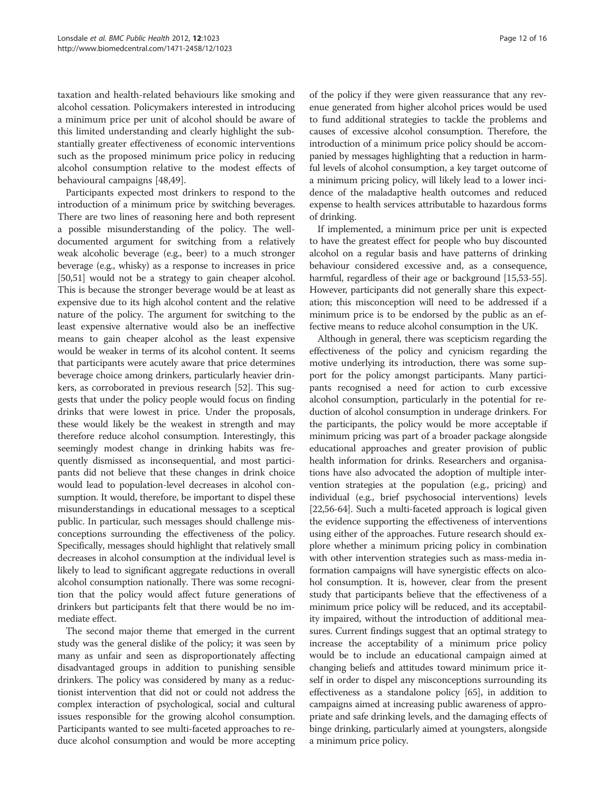taxation and health-related behaviours like smoking and alcohol cessation. Policymakers interested in introducing a minimum price per unit of alcohol should be aware of this limited understanding and clearly highlight the substantially greater effectiveness of economic interventions such as the proposed minimum price policy in reducing alcohol consumption relative to the modest effects of behavioural campaigns [\[48,49\]](#page-14-0).

Participants expected most drinkers to respond to the introduction of a minimum price by switching beverages. There are two lines of reasoning here and both represent a possible misunderstanding of the policy. The welldocumented argument for switching from a relatively weak alcoholic beverage (e.g., beer) to a much stronger beverage (e.g., whisky) as a response to increases in price [[50,51](#page-14-0)] would not be a strategy to gain cheaper alcohol. This is because the stronger beverage would be at least as expensive due to its high alcohol content and the relative nature of the policy. The argument for switching to the least expensive alternative would also be an ineffective means to gain cheaper alcohol as the least expensive would be weaker in terms of its alcohol content. It seems that participants were acutely aware that price determines beverage choice among drinkers, particularly heavier drinkers, as corroborated in previous research [\[52\]](#page-14-0). This suggests that under the policy people would focus on finding drinks that were lowest in price. Under the proposals, these would likely be the weakest in strength and may therefore reduce alcohol consumption. Interestingly, this seemingly modest change in drinking habits was frequently dismissed as inconsequential, and most participants did not believe that these changes in drink choice would lead to population-level decreases in alcohol consumption. It would, therefore, be important to dispel these misunderstandings in educational messages to a sceptical public. In particular, such messages should challenge misconceptions surrounding the effectiveness of the policy. Specifically, messages should highlight that relatively small decreases in alcohol consumption at the individual level is likely to lead to significant aggregate reductions in overall alcohol consumption nationally. There was some recognition that the policy would affect future generations of drinkers but participants felt that there would be no immediate effect.

The second major theme that emerged in the current study was the general dislike of the policy; it was seen by many as unfair and seen as disproportionately affecting disadvantaged groups in addition to punishing sensible drinkers. The policy was considered by many as a reductionist intervention that did not or could not address the complex interaction of psychological, social and cultural issues responsible for the growing alcohol consumption. Participants wanted to see multi-faceted approaches to reduce alcohol consumption and would be more accepting

of the policy if they were given reassurance that any revenue generated from higher alcohol prices would be used to fund additional strategies to tackle the problems and causes of excessive alcohol consumption. Therefore, the introduction of a minimum price policy should be accompanied by messages highlighting that a reduction in harmful levels of alcohol consumption, a key target outcome of a minimum pricing policy, will likely lead to a lower incidence of the maladaptive health outcomes and reduced expense to health services attributable to hazardous forms of drinking.

If implemented, a minimum price per unit is expected to have the greatest effect for people who buy discounted alcohol on a regular basis and have patterns of drinking behaviour considered excessive and, as a consequence, harmful, regardless of their age or background [\[15,53](#page-14-0)-[55](#page-14-0)]. However, participants did not generally share this expectation; this misconception will need to be addressed if a minimum price is to be endorsed by the public as an effective means to reduce alcohol consumption in the UK.

Although in general, there was scepticism regarding the effectiveness of the policy and cynicism regarding the motive underlying its introduction, there was some support for the policy amongst participants. Many participants recognised a need for action to curb excessive alcohol consumption, particularly in the potential for reduction of alcohol consumption in underage drinkers. For the participants, the policy would be more acceptable if minimum pricing was part of a broader package alongside educational approaches and greater provision of public health information for drinks. Researchers and organisations have also advocated the adoption of multiple intervention strategies at the population (e.g., pricing) and individual (e.g., brief psychosocial interventions) levels [[22,56](#page-14-0)-[64](#page-14-0)]. Such a multi-faceted approach is logical given the evidence supporting the effectiveness of interventions using either of the approaches. Future research should explore whether a minimum pricing policy in combination with other intervention strategies such as mass-media information campaigns will have synergistic effects on alcohol consumption. It is, however, clear from the present study that participants believe that the effectiveness of a minimum price policy will be reduced, and its acceptability impaired, without the introduction of additional measures. Current findings suggest that an optimal strategy to increase the acceptability of a minimum price policy would be to include an educational campaign aimed at changing beliefs and attitudes toward minimum price itself in order to dispel any misconceptions surrounding its effectiveness as a standalone policy [[65](#page-15-0)], in addition to campaigns aimed at increasing public awareness of appropriate and safe drinking levels, and the damaging effects of binge drinking, particularly aimed at youngsters, alongside a minimum price policy.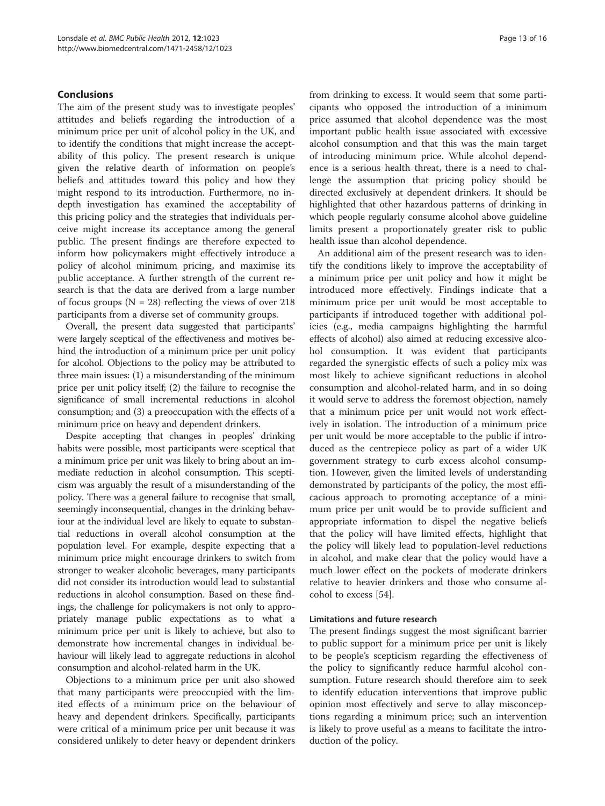#### Conclusions

The aim of the present study was to investigate peoples' attitudes and beliefs regarding the introduction of a minimum price per unit of alcohol policy in the UK, and to identify the conditions that might increase the acceptability of this policy. The present research is unique given the relative dearth of information on people's beliefs and attitudes toward this policy and how they might respond to its introduction. Furthermore, no indepth investigation has examined the acceptability of this pricing policy and the strategies that individuals perceive might increase its acceptance among the general public. The present findings are therefore expected to inform how policymakers might effectively introduce a policy of alcohol minimum pricing, and maximise its public acceptance. A further strength of the current research is that the data are derived from a large number of focus groups ( $N = 28$ ) reflecting the views of over 218 participants from a diverse set of community groups.

Overall, the present data suggested that participants' were largely sceptical of the effectiveness and motives behind the introduction of a minimum price per unit policy for alcohol. Objections to the policy may be attributed to three main issues: (1) a misunderstanding of the minimum price per unit policy itself; (2) the failure to recognise the significance of small incremental reductions in alcohol consumption; and (3) a preoccupation with the effects of a minimum price on heavy and dependent drinkers.

Despite accepting that changes in peoples' drinking habits were possible, most participants were sceptical that a minimum price per unit was likely to bring about an immediate reduction in alcohol consumption. This scepticism was arguably the result of a misunderstanding of the policy. There was a general failure to recognise that small, seemingly inconsequential, changes in the drinking behaviour at the individual level are likely to equate to substantial reductions in overall alcohol consumption at the population level. For example, despite expecting that a minimum price might encourage drinkers to switch from stronger to weaker alcoholic beverages, many participants did not consider its introduction would lead to substantial reductions in alcohol consumption. Based on these findings, the challenge for policymakers is not only to appropriately manage public expectations as to what a minimum price per unit is likely to achieve, but also to demonstrate how incremental changes in individual behaviour will likely lead to aggregate reductions in alcohol consumption and alcohol-related harm in the UK.

Objections to a minimum price per unit also showed that many participants were preoccupied with the limited effects of a minimum price on the behaviour of heavy and dependent drinkers. Specifically, participants were critical of a minimum price per unit because it was considered unlikely to deter heavy or dependent drinkers from drinking to excess. It would seem that some participants who opposed the introduction of a minimum price assumed that alcohol dependence was the most important public health issue associated with excessive alcohol consumption and that this was the main target of introducing minimum price. While alcohol dependence is a serious health threat, there is a need to challenge the assumption that pricing policy should be directed exclusively at dependent drinkers. It should be highlighted that other hazardous patterns of drinking in which people regularly consume alcohol above guideline limits present a proportionately greater risk to public health issue than alcohol dependence.

An additional aim of the present research was to identify the conditions likely to improve the acceptability of a minimum price per unit policy and how it might be introduced more effectively. Findings indicate that a minimum price per unit would be most acceptable to participants if introduced together with additional policies (e.g., media campaigns highlighting the harmful effects of alcohol) also aimed at reducing excessive alcohol consumption. It was evident that participants regarded the synergistic effects of such a policy mix was most likely to achieve significant reductions in alcohol consumption and alcohol-related harm, and in so doing it would serve to address the foremost objection, namely that a minimum price per unit would not work effectively in isolation. The introduction of a minimum price per unit would be more acceptable to the public if introduced as the centrepiece policy as part of a wider UK government strategy to curb excess alcohol consumption. However, given the limited levels of understanding demonstrated by participants of the policy, the most efficacious approach to promoting acceptance of a minimum price per unit would be to provide sufficient and appropriate information to dispel the negative beliefs that the policy will have limited effects, highlight that the policy will likely lead to population-level reductions in alcohol, and make clear that the policy would have a much lower effect on the pockets of moderate drinkers relative to heavier drinkers and those who consume alcohol to excess [[54\]](#page-14-0).

#### Limitations and future research

The present findings suggest the most significant barrier to public support for a minimum price per unit is likely to be people's scepticism regarding the effectiveness of the policy to significantly reduce harmful alcohol consumption. Future research should therefore aim to seek to identify education interventions that improve public opinion most effectively and serve to allay misconceptions regarding a minimum price; such an intervention is likely to prove useful as a means to facilitate the introduction of the policy.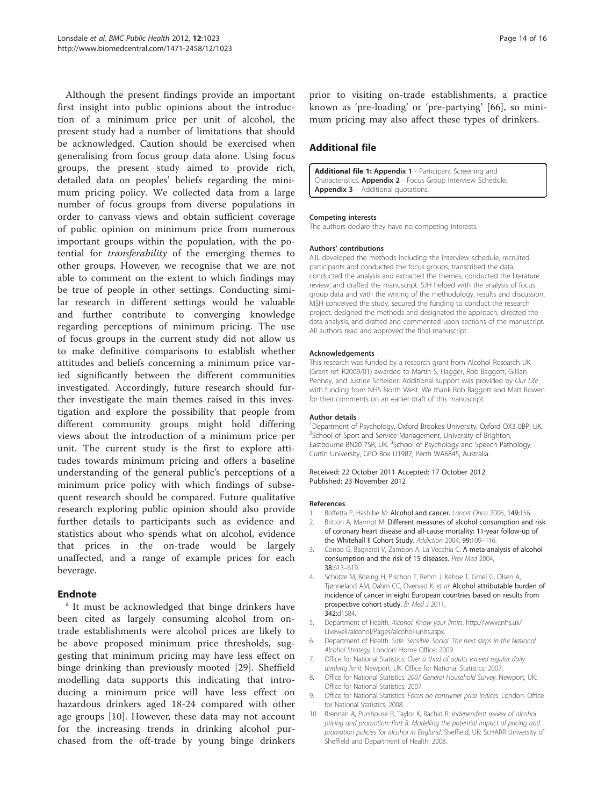<span id="page-13-0"></span>Although the present findings provide an important first insight into public opinions about the introduction of a minimum price per unit of alcohol, the present study had a number of limitations that should be acknowledged. Caution should be exercised when generalising from focus group data alone. Using focus groups, the present study aimed to provide rich, detailed data on peoples' beliefs regarding the minimum pricing policy. We collected data from a large number of focus groups from diverse populations in order to canvass views and obtain sufficient coverage of public opinion on minimum price from numerous important groups within the population, with the potential for transferability of the emerging themes to other groups. However, we recognise that we are not able to comment on the extent to which findings may be true of people in other settings. Conducting similar research in different settings would be valuable and further contribute to converging knowledge regarding perceptions of minimum pricing. The use of focus groups in the current study did not allow us to make definitive comparisons to establish whether attitudes and beliefs concerning a minimum price varied significantly between the different communities investigated. Accordingly, future research should further investigate the main themes raised in this investigation and explore the possibility that people from different community groups might hold differing views about the introduction of a minimum price per unit. The current study is the first to explore attitudes towards minimum pricing and offers a baseline understanding of the general public's perceptions of a minimum price policy with which findings of subsequent research should be compared. Future qualitative research exploring public opinion should also provide further details to participants such as evidence and statistics about who spends what on alcohol, evidence that prices in the on-trade would be largely unaffected, and a range of example prices for each beverage.

**Endnote a** It must be acknowledged that binge drinkers have been cited as largely consuming alcohol from ontrade establishments were alcohol prices are likely to be above proposed minimum price thresholds, suggesting that minimum pricing may have less effect on binge drinking than previously mooted [\[29](#page-14-0)]. Sheffield modelling data supports this indicating that introducing a minimum price will have less effect on hazardous drinkers aged 18-24 compared with other age groups [10]. However, these data may not account for the increasing trends in drinking alcohol purchased from the off-trade by young binge drinkers prior to visiting on-trade establishments, a practice known as 'pre-loading' or 'pre-partying' [[66\]](#page-15-0), so minimum pricing may also affect these types of drinkers.

# Additional file

[Additional file 1:](http://www.biomedcentral.com/content/supplementary/1471-2458-12-1023-S1.doc) Appendix 1 - Participant Screening and Characteristics. **Appendix 2** - Focus Group Interview Schedule. Appendix 3 – Additional quotations.

#### Competing interests

The authors declare they have no competing interests.

#### Authors' contributions

AJL developed the methods including the interview schedule, recruited participants and conducted the focus groups, transcribed the data, conducted the analysis and extracted the themes, conducted the literature review, and drafted the manuscript. SJH helped with the analysis of focus group data and with the writing of the methodology, results and discussion. MSH conceived the study, secured the funding to conduct the research project, designed the methods and designated the approach, directed the data analysis, and drafted and commented upon sections of the manuscript. All authors read and approved the final manuscript.

#### Acknowledgements

This research was funded by a research grant from Alcohol Research UK (Grant ref: R2009/01) awarded to Martin S. Hagger, Rob Baggott, Gillian Penney, and Justine Scheider. Additional support was provided by Our Life with funding from NHS North West. We thank Rob Baggott and Matt Bowen for their comments on an earlier draft of this manuscript.

#### Author details

<sup>1</sup>Department of Psychology, Oxford Brookes University, Oxford OX3 0BP, UK <sup>2</sup>School of Sport and Service Management, University of Brighton Eastbourne BN20 7SR, UK. <sup>3</sup>School of Psychology and Speech Pathology, Curtin University, GPO Box U1987, Perth WA6845, Australia.

Received: 22 October 2011 Accepted: 17 October 2012 Published: 23 November 2012

#### References

- 1. Boffetta P, Hashibe M: Alcohol and cancer. Lancet Onco 2006, 149:156.
- 2. Britton A, Marmot M: Different measures of alcohol consumption and risk of coronary heart disease and all-cause mortality: 11-year follow-up of the Whitehall II Cohort Study. Addiction 2004, 99:109-116.
- 3. Corrao G, Bagnardi V, Zambon A, La Vecchia C: A meta-analysis of alcohol consumption and the risk of 15 diseases. Prev Med 2004, 38:613–619.
- 4. Schütze M, Boeing H, Pischon T, Rehm J, Kehoe T, Gmel G, Olsen A, Tjønneland AM, Dahm CC, Overvad K, et al: Alcohol attributable burden of incidence of cancer in eight European countries based on results from prospective cohort study. Br Med J 2011, 342:d1584.
- 5. Department of Health: Alcohol: Know your limits. [http://www.nhs.uk/](http://www.nhs.uk/Livewell/alcohol/Pages/alcohol-units.aspx) [Livewell/alcohol/Pages/alcohol-units.aspx](http://www.nhs.uk/Livewell/alcohol/Pages/alcohol-units.aspx).
- 6. Department of Health: Safe. Sensible. Social. The next steps in the National Alcohol Strategy. London: Home Office; 2009.
- 7. Office for National Statistics: Over a third of adults exceed regular daily drinking limit. Newport, UK: Office for National Statistics; 2007.
- 8. Office for National Statistics: 2007 General Household Survey. Newport, UK: Office for National Statistics; 2007.
- 9. Office for National Statistics: Focus on consumer price indices. London: Office for National Statistics; 2008.
- 10. Brennan A, Purshouse R, Taylor K, Rachid R: Independent review of alcohol pricing and promotion: Part B. Modelling the potential impact of pricing and promotion policies for alcohol in England. Sheffield, UK: ScHARR University of Sheffield and Department of Health; 2008.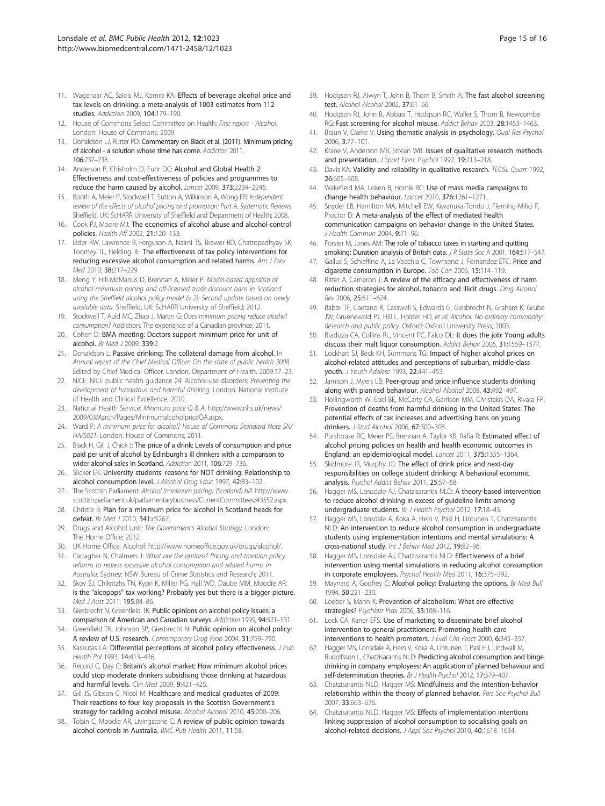- <span id="page-14-0"></span>11. Wagenaar AC, Salois MJ, Komro KA: Effects of beverage alcohol price and tax levels on drinking: a meta-analysis of 1003 estimates from 112 studies. Addiction 2009, 104:179–190.
- 12. House of Commons Select Committee on Health: First report Alcohol. London: House of Commons; 2009.
- 13. Donaldson LJ, Rutter PD: Commentary on Black et al. (2011): Minimum pricing of alcohol - a solution whose time has come. Addiction 2011, 106:737–738.
- 14. Anderson P, Chisholm D, Fuhr DC: Alcohol and Global Health 2 Effectiveness and cost-effectiveness of policies and programmes to reduce the harm caused by alcohol. Lancet 2009, 373:2234–2246.
- 15. Booth A, Meier P, Stockwell T, Sutton A, Wilkinson A, Wong ER: Independent review of the effects of alcohol pricing and promotion: Part A. Systematic Reviews. Sheffield, UK: ScHARR University of Sheffield and Department of Health; 2008.
- 16. Cook PJ, Moore MJ: The economics of alcohol abuse and alcohol-control policies. Health Aff 2002, 21:120–133.
- 17. Elder RW, Lawrence B, Ferguson A, Naimi TS, Brewer RD, Chattopadhyay SK, Toomey TL, Fielding JE: The effectiveness of tax policy interventions for reducing excessive alcohol consumption and related harms. Am J Prev Med 2010, 38:217–229.
- 18. Meng Y, Hill-McManus D, Brennan A, Meier P: Model-based appraisal of alcohol minimum pricing and off-licensed trade discount bans in Scotland using the Sheffield alcohol policy model (v 2): Second update based on newly available data. Sheffield, UK: ScHARR University of Sheffield; 2012.
- 19. Stockwell T, Auld MC, Zhao J, Martin G: Does minimum pricing reduce alcohol consumption? Addiction: The experience of a Canadian province; 2011.
- 20. Cohen D: BMA meeting: Doctors support minimum price for unit of alcohol. Br Med J 2009, 339:2.
- 21. Donaldson L: Passive drinking: The collateral damage from alcohol. In Annual report of the Chief Medical Officer: On the state of public health 2008. Edited by Chief Medical Officer. London: Department of Health; 2009:17–23.
- 22. NICE: NICE public health guidance 24: Alcohol-use disorders: Preventing the development of hazardous and harmful drinking. London: National Institute of Health and Clinical Excellence; 2010.
- 23. National Health Service: Minimum price Q & A. [http://www.nhs.uk/news/](http://www.nhs.uk/news/2009/03March/Pages/MinimumalcoholpriceQA.aspx) [2009/03March/Pages/MinimumalcoholpriceQA.aspx.](http://www.nhs.uk/news/2009/03March/Pages/MinimumalcoholpriceQA.aspx)
- 24. Ward P: A minimum price for alcohol? House of Commons Standard Note SN/ HA/5021. London: House of Commons; 2011.
- 25. Black H, Gill J, Chick J: The price of a drink: Levels of consumption and price paid per unit of alcohol by Edinburgh's ill drinkers with a comparison to wider alcohol sales in Scotland. Addiction 2011, 106:729–736.
- 26. Slicker EK: University students' reasons for NOT drinking: Relationship to alcohol consumption level. J Alcohol Drug Educ 1997, 42:83–102.
- 27. The Scottish Parliament: Alcohol (minimum pricing) (Scotland) bill. [http://www.](http://www.scottish.parliament.uk/parliamentarybusiness/CurrentCommittees/43552.aspx) [scottish.parliament.uk/parliamentarybusiness/CurrentCommittees/43552.aspx](http://www.scottish.parliament.uk/parliamentarybusiness/CurrentCommittees/43552.aspx).
- 28. Christie B: Plan for a minimum price for alcohol in Scotland heads for defeat. Br Med J 2010, 341:c5267.
- 29. Drugs and Alcohol Unit: The Government's Alcohol Strategy. London: The Home Office; 2012.
- 30. UK Home Office: Alcohol: [http://www.homeoffice.gov.uk/drugs/alcohol/.](http://www.homeoffice.gov.uk/drugs/alcohol/)
- 31. Carragher N, Chalmers J: What are the options? Pricing and taxation policy reforms to redress excessive alcohol consumption and related harms in Australia. Sydney: NSW Bureau of Crime Statistics and Research; 2011.
- 32. Skov SJ, Chikritzhs TN, Kypri K, Miller PG, Hall WD, Daube MM, Moodie AR: Is the "alcopops" tax working? Probably yes but there is a bigger picture. Med J Aust 2011, 195:84–86.
- 33. Giesbrecht N, Greenfield TK: Public opinions on alcohol policy issues: a comparison of American and Canadian surveys. Addiction 1999, 94:521–531.
- 34. Greenfield TK, Johnson SP, Giesbrecht N: Public opinion on alcohol policy: A review of U.S. research. Contemporary Drug Prob 2004, 31:759–790.
- 35. Kaskutas LA: Differential perceptions of alcohol policy effectiveness. J Pub Health Pol 1993, 14:413–436.
- 36. Record C, Day C: Britain's alcohol market: How minimum alcohol prices could stop moderate drinkers subsidising those drinking at hazardous and harmful levels. Clin Med 2009, 9:421-425.
- 37. Gill JS, Gibson C, Nicol M: Healthcare and medical graduates of 2009: Their reactions to four key proposals in the Scottish Government's strategy for tackling alcohol misuse. Alcohol Alcohol 2010, 45:200–206.
- 38. Tobin C, Moodie AR, Livingstone C: A review of public opinion towards alcohol controls in Australia. BMC Pub Health 2011, 11:58.
- 39. Hodgson RJ, Alwyn T, John B, Thom B, Smith A: The fast alcohol screening test. Alcohol Alcohol 2002, 37:61–66.
- 40. Hodgson RJ, John B, Abbasi T, Hodgson RC, Waller S, Thom B, Newcombe RG: Fast screening for alcohol misuse. Addict Behav 2003, 28:1453–1463.
- 41. Braun V, Clarke V: Using thematic analysis in psychology. Qual Res Psychol 2006, 3:77–101.
- 42. Krane V, Anderson MB, Strean WB: Issues of qualitative research methods and presentation. J Sport Exerc Psychol 1997, 19:213-218.
- 43. Davis KA: Validity and reliability in qualitative research. TEOSL Quart 1992, 26:605–608.
- Wakefield MA, Loken B, Hornik RC: Use of mass media campaigns to change health behaviour. Lancet 2010, 376:1261–1271.
- 45. Snyder LB, Hamilton MA, Mitchell EW, Kiwanuka-Tondo J, Fleming-Milici F, Proctor D: A meta-analysis of the effect of mediated health communication campaigns on behavior change in the United States. J Health Commun 2004, 9:71–96.
- 46. Forster M, Jones AM: The role of tobacco taxes in starting and quitting smoking: Duration analysis of British data. J R Statis Soc A 2001, 164:517-547.
- 47. Gallus S, Schiaffino A, La Vecchia C, Townsend J, Fernandez ETC: Price and cigarette consumption in Europe. Tob Con 2006, 15:114–119.
- 48. Ritter A, Cameron J: A review of the efficacy and effectiveness of harm reduction strategies for alcohol, tobacco and illicit drugs. Drug Alcohol Rev 2006, 25:611–624.
- 49. Babor TF, Caetano R, Casswell S, Edwards G, Giesbrecht N, Graham K, Grube JW, Gruenewald PJ, Hill L, Holder HD, et al: Alcohol: No ordinary commodity: Research and public policy. Oxford: Oxford University Press; 2003.
- 50. Bradizza CA, Collins RL, Vincent PC, Falco DL: It does the job: Young adults discuss their malt liquor consumption. Addict Behav 2006, 31:1559–1577.
- 51. Lockhart SJ, Beck KH, Summons TG: Impact of higher alcohol prices on alcohol-related attitudes and perceptions of suburban, middle-class youth. J Youth Adolesc 1993, 22:441–453.
- Jamison J, Myers LB: Peer-group and price influence students drinking along with planned behaviour. Alcohol Alcohol 2008, 43:492–497.
- 53. Hollingworth W, Ebel BE, McCarty CA, Garrison MM, Christakis DA, Rivara FP: Prevention of deaths from harmful drinking in the United States: The potential effects of tax increases and advertising bans on young drinkers. J Stud Alcohol 2006, 67:300–308.
- 54. Purshouse RC, Meier PS, Brennan A, Taylor KB, Rafia R: Estimated effect of alcohol pricing policies on health and health economic outcomes in England: an epidemiological model. Lancet 2011, 375:1355–1364.
- 55. Skidmore JR, Murphy JG: The effect of drink price and next-day responsibilities on college student drinking: A behavioral economic analysis. Psychol Addict Behav 2011, 25:57–68.
- Hagger MS, Lonsdale AJ, Chatzisarantis NLD: A theory-based intervention to reduce alcohol drinking in excess of guideline limits among undergraduate students. Br J Health Psychol 2012, 17:18–43.
- 57. Hagger MS, Lonsdale A, Koka A, Hein V, Pasi H, Lintunen T, Chatzisarantis NLD: An intervention to reduce alcohol consumption in undergraduate students using implementation intentions and mental simulations: A cross-national study. Int J Behav Med 2012, 19:82–96.
- Hagger MS, Lonsdale AJ, Chatzisarantis NLD: Effectiveness of a brief intervention using mental simulations in reducing alcohol consumption in corporate employees. Psychol Health Med 2011, 16:375–392.
- 59. Maynard A, Godfrey C: Alcohol policy: Evaluating the options. Br Med Bull 1994, 50:221–230.
- 60. Loeber S, Mann K: Prevention of alcoholism: What are effective strategies? Psychiatr Prax 2006, 33:108-116.
- 61. Lock CA, Kaner EFS: Use of marketing to disseminate brief alcohol intervention to general practitioners: Promoting health care interventions to health promoters. J Eval Clin Pract 2000, 6:345-357.
- 62. Hagger MS, Lonsdale A, Hein V, Koka A, Lintunen T, Pasi HJ, Lindwall M, Rudolfsson L, Chatzisarantis NLD: Predicting alcohol consumption and binge drinking in company employees: An application of planned behaviour and self-determination theories. Br J Health Psychol 2012, 17:379-407
- 63. Chatzisarantis NLD, Hagger MS: Mindfulness and the intention-behavior relationship within the theory of planned behavior. Pers Soc Psychol Bull 2007, 33:663–676.
- 64. Chatzisarantis NLD, Hagger MS: Effects of implementation intentions linking suppression of alcohol consumption to socialising goals on alcohol-related decisions. J Appl Soc Psychol 2010, 40:1618–1634.